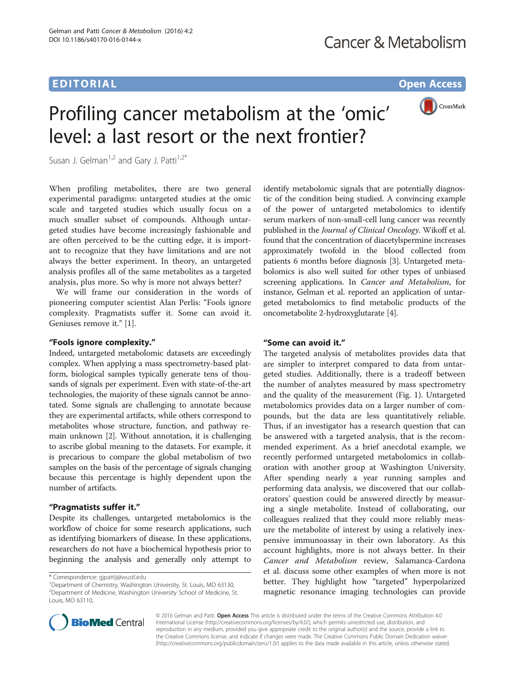# EDITORIAL AND CONTROL CONTROL CONTROL CONTROL CONTROL CONTROL CONTROL CONTROL CONTROL CONTROL CONTROL CONTROL CONTROL CONTROL CONTROL CONTROL CONTROL CONTROL CONTROL CONTROL CONTROL CONTROL CONTROL CONTROL CONTROL CONTROL



# Profiling cancer metabolism at the 'omic' level: a last resort or the next frontier?

Susan J. Gelman<sup>1,2</sup> and Gary J. Patti<sup>1,2\*</sup>

When profiling metabolites, there are two general experimental paradigms: untargeted studies at the omic scale and targeted studies which usually focus on a much smaller subset of compounds. Although untargeted studies have become increasingly fashionable and are often perceived to be the cutting edge, it is important to recognize that they have limitations and are not always the better experiment. In theory, an untargeted analysis profiles all of the same metabolites as a targeted analysis, plus more. So why is more not always better?

We will frame our consideration in the words of pioneering computer scientist Alan Perlis: "Fools ignore complexity. Pragmatists suffer it. Some can avoid it. Geniuses remove it." [\[1](#page-1-0)].

### "Fools ignore complexity."

Indeed, untargeted metabolomic datasets are exceedingly complex. When applying a mass spectrometry-based platform, biological samples typically generate tens of thousands of signals per experiment. Even with state-of-the-art technologies, the majority of these signals cannot be annotated. Some signals are challenging to annotate because they are experimental artifacts, while others correspond to metabolites whose structure, function, and pathway remain unknown [\[2](#page-1-0)]. Without annotation, it is challenging to ascribe global meaning to the datasets. For example, it is precarious to compare the global metabolism of two samples on the basis of the percentage of signals changing because this percentage is highly dependent upon the number of artifacts.

### "Pragmatists suffer it."

Despite its challenges, untargeted metabolomics is the workflow of choice for some research applications, such as identifying biomarkers of disease. In these applications, researchers do not have a biochemical hypothesis prior to beginning the analysis and generally only attempt to identify metabolomic signals that are potentially diagnostic of the condition being studied. A convincing example of the power of untargeted metabolomics to identify serum markers of non-small-cell lung cancer was recently published in the Journal of Clinical Oncology. Wikoff et al. found that the concentration of diacetylspermine increases approximately twofold in the blood collected from patients 6 months before diagnosis [[3](#page-1-0)]. Untargeted metabolomics is also well suited for other types of unbiased screening applications. In Cancer and Metabolism, for instance, Gelman et al. reported an application of untargeted metabolomics to find metabolic products of the oncometabolite 2-hydroxyglutarate [[4](#page-1-0)].

### "Some can avoid it."

The targeted analysis of metabolites provides data that are simpler to interpret compared to data from untargeted studies. Additionally, there is a tradeoff between the number of analytes measured by mass spectrometry and the quality of the measurement (Fig. [1](#page-1-0)). Untargeted metabolomics provides data on a larger number of compounds, but the data are less quantitatively reliable. Thus, if an investigator has a research question that can be answered with a targeted analysis, that is the recommended experiment. As a brief anecdotal example, we recently performed untargeted metabolomics in collaboration with another group at Washington University. After spending nearly a year running samples and performing data analysis, we discovered that our collaborators' question could be answered directly by measuring a single metabolite. Instead of collaborating, our colleagues realized that they could more reliably measure the metabolite of interest by using a relatively inexpensive immunoassay in their own laboratory. As this account highlights, more is not always better. In their Cancer and Metabolism review, Salamanca-Cardona et al. discuss some other examples of when more is not better. They highlight how "targeted" hyperpolarized magnetic resonance imaging technologies can provide



© 2016 Gelman and Patti. Open Access This article is distributed under the terms of the Creative Commons Attribution 4.0 International License [\(http://creativecommons.org/licenses/by/4.0/](http://creativecommons.org/licenses/by/4.0/)), which permits unrestricted use, distribution, and reproduction in any medium, provided you give appropriate credit to the original author(s) and the source, provide a link to the Creative Commons license, and indicate if changes were made. The Creative Commons Public Domain Dedication waiver [\(http://creativecommons.org/publicdomain/zero/1.0/](http://creativecommons.org/publicdomain/zero/1.0/)) applies to the data made available in this article, unless otherwise stated.

<sup>\*</sup> Correspondence: [gjpattij@wustl.edu](mailto:gjpattij@wustl.edu) <sup>1</sup>

<sup>&</sup>lt;sup>1</sup>Department of Chemistry, Washington University, St. Louis, MO 63130, <sup>2</sup> Department of Medicine, Washington University School of Medicine, St. Louis, MO 63110,